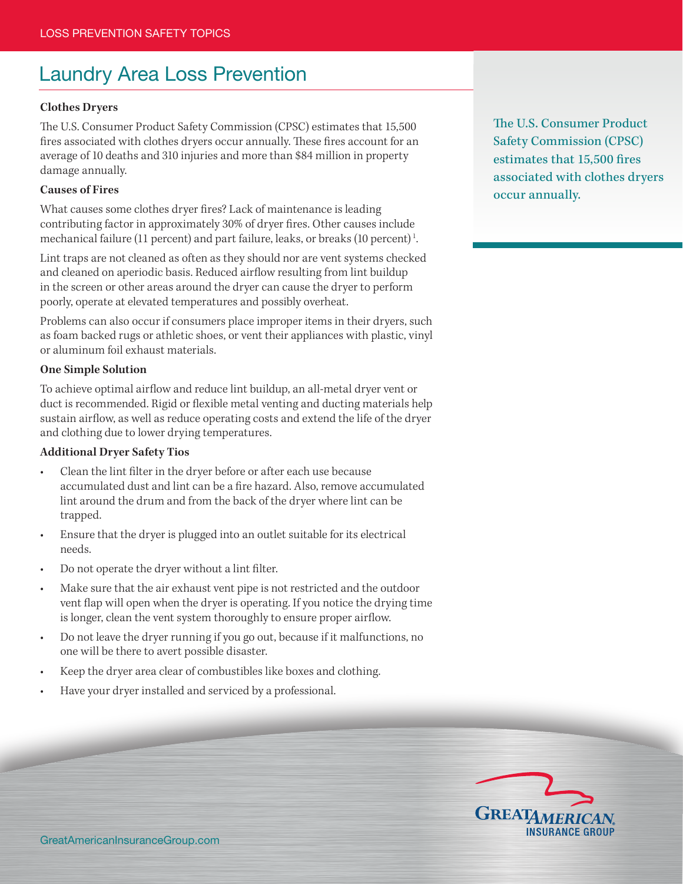# Laundry Area Loss Prevention

# **Clothes Dryers**

The U.S. Consumer Product Safety Commission (CPSC) estimates that 15,500 fires associated with clothes dryers occur annually. These fires account for an average of 10 deaths and 310 injuries and more than \$84 million in property damage annually.

### **Causes of Fires**

What causes some clothes dryer fires? Lack of maintenance is leading contributing factor in approximately 30% of dryer fires. Other causes include mechanical failure (11 percent) and part failure, leaks, or breaks (10 percent) 1.

Lint traps are not cleaned as often as they should nor are vent systems checked and cleaned on aperiodic basis. Reduced airflow resulting from lint buildup in the screen or other areas around the dryer can cause the dryer to perform poorly, operate at elevated temperatures and possibly overheat.

Problems can also occur if consumers place improper items in their dryers, such as foam backed rugs or athletic shoes, or vent their appliances with plastic, vinyl or aluminum foil exhaust materials.

## **One Simple Solution**

To achieve optimal airflow and reduce lint buildup, an all-metal dryer vent or duct is recommended. Rigid or flexible metal venting and ducting materials help sustain airflow, as well as reduce operating costs and extend the life of the dryer and clothing due to lower drying temperatures.

### **Additional Dryer Safety Tios**

- Clean the lint filter in the dryer before or after each use because accumulated dust and lint can be a fire hazard. Also, remove accumulated lint around the drum and from the back of the dryer where lint can be trapped.
- Ensure that the dryer is plugged into an outlet suitable for its electrical needs.
- Do not operate the dryer without a lint filter.
- Make sure that the air exhaust vent pipe is not restricted and the outdoor vent flap will open when the dryer is operating. If you notice the drying time is longer, clean the vent system thoroughly to ensure proper airflow.
- Do not leave the dryer running if you go out, because if it malfunctions, no one will be there to avert possible disaster.
- Keep the dryer area clear of combustibles like boxes and clothing.
- Have your dryer installed and serviced by a professional.

The U.S. Consumer Product Safety Commission (CPSC) estimates that 15,500 fires associated with clothes dryers occur annually.